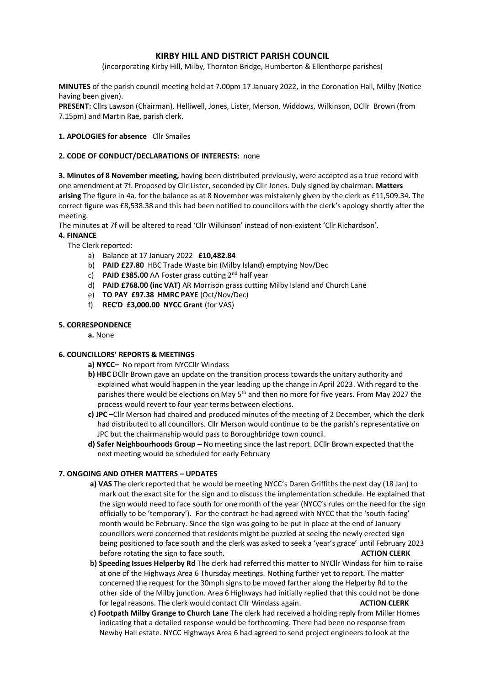# **KIRBY HILL AND DISTRICT PARISH COUNCIL**

(incorporating Kirby Hill, Milby, Thornton Bridge, Humberton & Ellenthorpe parishes)

**MINUTES** of the parish council meeting held at 7.00pm 17 January 2022, in the Coronation Hall, Milby (Notice having been given).

**PRESENT:** Cllrs Lawson (Chairman), Helliwell, Jones, Lister, Merson, Widdows, Wilkinson, DCllr Brown (from 7.15pm) and Martin Rae, parish clerk.

## **1. APOLOGIES for absence** Cllr Smailes

#### **2. CODE OF CONDUCT/DECLARATIONS OF INTERESTS:** none

**3. Minutes of 8 November meeting,** having been distributed previously, were accepted as a true record with one amendment at 7f. Proposed by Cllr Lister, seconded by Cllr Jones. Duly signed by chairman. **Matters arising** The figure in 4a. for the balance as at 8 November was mistakenly given by the clerk as £11,509.34. The correct figure was £8,538.38 and this had been notified to councillors with the clerk's apology shortly after the meeting.

The minutes at 7f will be altered to read 'Cllr Wilkinson' instead of non-existent 'Cllr Richardson'.

### **4. FINANCE**

The Clerk reported:

- a) Balance at 17 January 2022 **£10,482.84**
- b) **PAID £27.80** HBC Trade Waste bin (Milby Island) emptying Nov/Dec
- c) **PAID £385.00** AA Foster grass cutting 2nd half year
- d) **PAID £768.00 (inc VAT)** AR Morrison grass cutting Milby Island and Church Lane
- e) **TO PAY £97.38 HMRC PAYE** (Oct/Nov/Dec)
- f) **REC'D £3,000.00 NYCC Grant** (for VAS)

### **5. CORRESPONDENCE**

**a.** None

# **6. COUNCILLORS' REPORTS & MEETINGS**

- **a) NYCC–** No report from NYCCllr Windass
- **b) HBC** DCllr Brown gave an update on the transition process towards the unitary authority and explained what would happen in the year leading up the change in April 2023. With regard to the parishes there would be elections on May  $5<sup>th</sup>$  and then no more for five years. From May 2027 the process would revert to four year terms between elections.
- **c) JPC –**Cllr Merson had chaired and produced minutes of the meeting of 2 December, which the clerk had distributed to all councillors. Cllr Merson would continue to be the parish's representative on JPC but the chairmanship would pass to Boroughbridge town council.
- **d) Safer Neighbourhoods Group –** No meeting since the last report. DCllr Brown expected that the next meeting would be scheduled for early February

#### **7. ONGOING AND OTHER MATTERS – UPDATES**

- **a) VAS** The clerk reported that he would be meeting NYCC's Daren Griffiths the next day (18 Jan) to mark out the exact site for the sign and to discuss the implementation schedule. He explained that the sign would need to face south for one month of the year (NYCC's rules on the need for the sign officially to be 'temporary'). For the contract he had agreed with NYCC that the 'south-facing' month would be February. Since the sign was going to be put in place at the end of January councillors were concerned that residents might be puzzled at seeing the newly erected sign being positioned to face south and the clerk was asked to seek a 'year's grace' until February 2023 before rotating the sign to face south. **ACTION CLERK**
- **b) Speeding Issues Helperby Rd** The clerk had referred this matter to NYCllr Windass for him to raise at one of the Highways Area 6 Thursday meetings. Nothing further yet to report. The matter concerned the request for the 30mph signs to be moved farther along the Helperby Rd to the other side of the Milby junction. Area 6 Highways had initially replied that this could not be done for legal reasons. The clerk would contact Cllr Windass again. **ACTION CLERK**
- **c) Footpath Milby Grange to Church Lane** The clerk had received a holding reply from Miller Homes indicating that a detailed response would be forthcoming. There had been no response from Newby Hall estate. NYCC Highways Area 6 had agreed to send project engineers to look at the